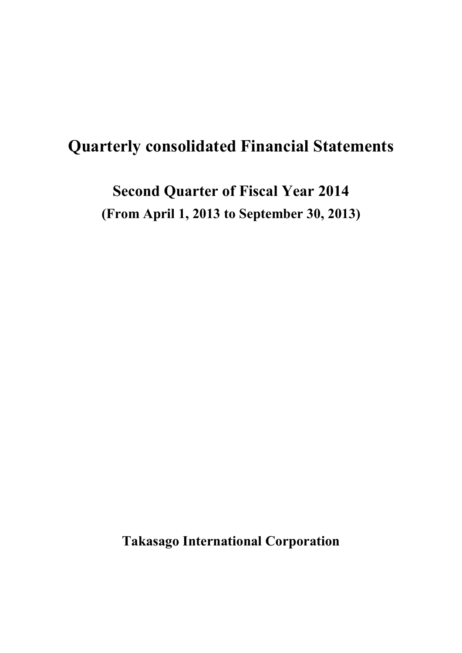# **Quarterly consolidated Financial Statements**

**Second Quarter of Fiscal Year 2014 (From April 1, 2013 to September 30, 2013)**

**Takasago International Corporation**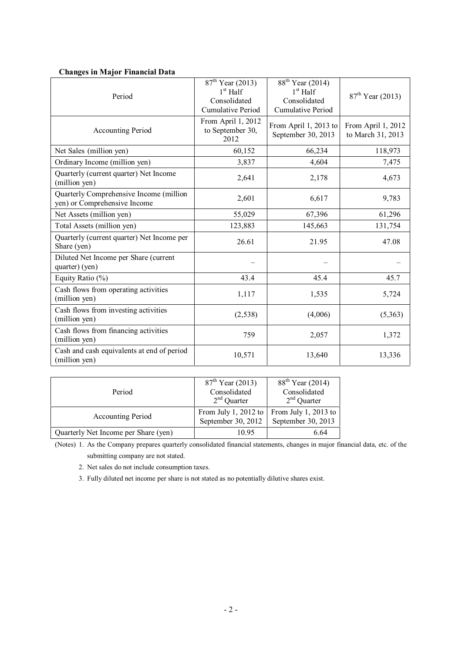| Period                                                                  | $87th$ Year (2013)<br>$1st$ Half<br>Consolidated<br><b>Cumulative Period</b> | 88 <sup>th</sup> Year (2014)<br>$1st$ Half<br>Consolidated<br><b>Cumulative Period</b> | $87th$ Year (2013)                      |  |
|-------------------------------------------------------------------------|------------------------------------------------------------------------------|----------------------------------------------------------------------------------------|-----------------------------------------|--|
| Accounting Period                                                       | From April 1, 2012<br>to September 30,<br>2012                               | From April 1, 2013 to<br>September 30, 2013                                            | From April 1, 2012<br>to March 31, 2013 |  |
| Net Sales (million yen)                                                 | 60,152                                                                       | 66,234                                                                                 | 118,973                                 |  |
| Ordinary Income (million yen)                                           | 3,837                                                                        | 4,604                                                                                  | 7,475                                   |  |
| Quarterly (current quarter) Net Income<br>(million yen)                 | 2,641                                                                        | 2,178                                                                                  | 4,673                                   |  |
| Quarterly Comprehensive Income (million<br>yen) or Comprehensive Income | 2,601                                                                        | 6,617                                                                                  | 9,783                                   |  |
| Net Assets (million yen)                                                | 55,029                                                                       | 67,396                                                                                 | 61,296                                  |  |
| Total Assets (million yen)                                              | 123,883                                                                      | 145,663                                                                                | 131,754                                 |  |
| Quarterly (current quarter) Net Income per<br>Share (yen)               | 26.61                                                                        | 21.95                                                                                  | 47.08                                   |  |
| Diluted Net Income per Share (current<br>quarter) (yen)                 |                                                                              |                                                                                        |                                         |  |
| Equity Ratio $(\%)$                                                     | 43.4                                                                         | 45.4                                                                                   | 45.7                                    |  |
| Cash flows from operating activities<br>(million yen)                   | 1,117                                                                        | 1,535                                                                                  | 5,724                                   |  |
| Cash flows from investing activities<br>(million yen)                   | (2, 538)                                                                     | (4,006)                                                                                | (5,363)                                 |  |
| Cash flows from financing activities<br>(million yen)                   | 759                                                                          | 2,057                                                                                  | 1,372                                   |  |
| Cash and cash equivalents at end of period<br>(million yen)             | 10,571                                                                       | 13,640                                                                                 | 13,336                                  |  |

#### **Changes in Major Financial Data**

| Period                               | $87th$ Year (2013)<br>Consolidated<br>$2nd$ Quarter | $88^{th}$ Year (2014)<br>Consolidated<br>$2nd$ Quarter |  |
|--------------------------------------|-----------------------------------------------------|--------------------------------------------------------|--|
| <b>Accounting Period</b>             | From July 1, 2012 to<br>September 30, 2012          | From July 1, 2013 to<br>September 30, 2013             |  |
| Quarterly Net Income per Share (yen) | 10.95                                               | 6.64                                                   |  |

(Notes) 1. As the Company prepares quarterly consolidated financial statements, changes in major financial data, etc. of the submitting company are not stated.

2. Net sales do not include consumption taxes.

3. Fully diluted net income per share is not stated as no potentially dilutive shares exist.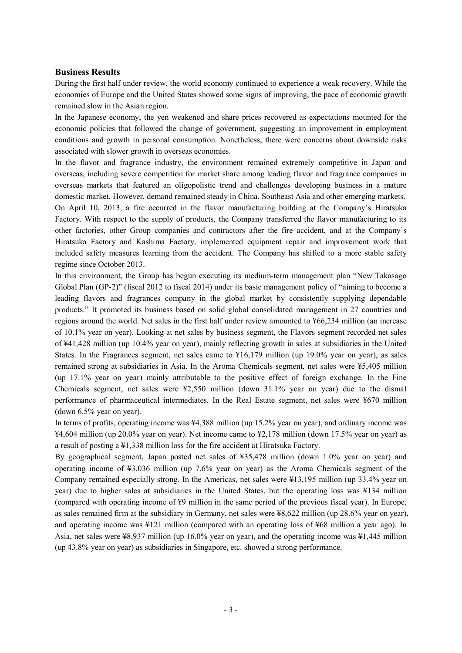#### **Business Results**

During the first half under review, the world economy continued to experience a weak recovery. While the economies of Europe and the United States showed some signs of improving, the pace of economic growth remained slow in the Asian region.

In the Japanese economy, the yen weakened and share prices recovered as expectations mounted for the economic policies that followed the change of government, suggesting an improvement in employment conditions and growth in personal consumption. Nonetheless, there were concerns about downside risks associated with slower growth in overseas economies.

In the flavor and fragrance industry, the environment remained extremely competitive in Japan and overseas, including severe competition for market share among leading flavor and fragrance companies in overseas markets that featured an oligopolistic trend and challenges developing business in a mature domestic market. However, demand remained steady in China, Southeast Asia and other emerging markets. On April 10, 2013, a fire occurred in the flavor manufacturing building at the Company's Hiratsuka Factory. With respect to the supply of products, the Company transferred the flavor manufacturing to its other factories, other Group companies and contractors after the fire accident, and at the Company's Hiratsuka Factory and Kashima Factory, implemented equipment repair and improvement work that included safety measures learning from the accident. The Company has shifted to a more stable safety regime since October 2013.

In this environment, the Group has begun executing its medium-term management plan "New Takasago Global Plan (GP-2)" (fiscal 2012 to fiscal 2014) under its basic management policy of "aiming to become a leading flavors and fragrances company in the global market by consistently supplying dependable products." It promoted its business based on solid global consolidated management in 27 countries and regions around the world. Net sales in the first half under review amounted to ¥66,234 million (an increase of 10.1% year on year). Looking at net sales by business segment, the Flavors segment recorded net sales of ¥41,428 million (up 10.4% year on year), mainly reflecting growth in sales at subsidiaries in the United States. In the Fragrances segment, net sales came to ¥16,179 million (up 19.0% year on year), as sales remained strong at subsidiaries in Asia. In the Aroma Chemicals segment, net sales were ¥5,405 million (up 17.1% year on year) mainly attributable to the positive effect of foreign exchange. In the Fine Chemicals segment, net sales were  $\frac{12,550}{2,550}$  million (down 31.1% year on year) due to the dismal performance of pharmaceutical intermediates. In the Real Estate segment, net sales were ¥670 million (down 6.5% year on year).

In terms of profits, operating income was ¥4,388 million (up 15.2% year on year), and ordinary income was ¥4,604 million (up 20.0% year on year). Net income came to ¥2,178 million (down 17.5% year on year) as a result of posting a ¥1,338 million loss for the fire accident at Hiratsuka Factory.

By geographical segment, Japan posted net sales of ¥35,478 million (down 1.0% year on year) and operating income of ¥3,036 million (up 7.6% year on year) as the Aroma Chemicals segment of the Company remained especially strong. In the Americas, net sales were ¥13,195 million (up 33.4% year on year) due to higher sales at subsidiaries in the United States, but the operating loss was ¥134 million (compared with operating income of ¥9 million in the same period of the previous fiscal year). In Europe, as sales remained firm at the subsidiary in Germany, net sales were ¥8,622 million (up 28.6% year on year), and operating income was ¥121 million (compared with an operating loss of ¥68 million a year ago). In Asia, net sales were ¥8,937 million (up 16.0% year on year), and the operating income was ¥1,445 million (up 43.8% year on year) as subsidiaries in Singapore, etc. showed a strong performance.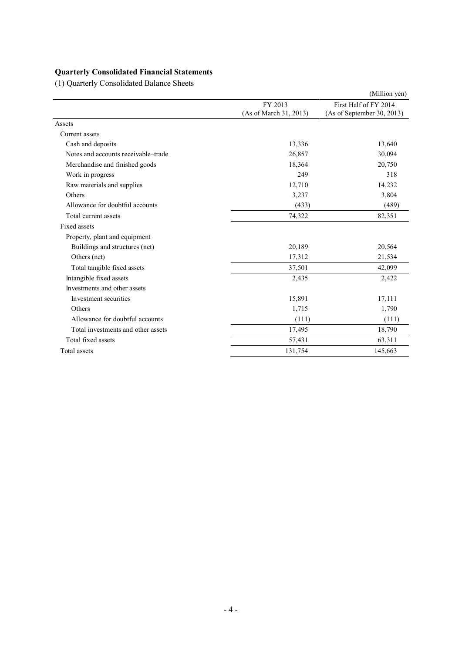## **Quarterly Consolidated Financial Statements**

(1) Quarterly Consolidated Balance Sheets

|                                     |                                   | (Million yen)                                       |
|-------------------------------------|-----------------------------------|-----------------------------------------------------|
|                                     | FY 2013<br>(As of March 31, 2013) | First Half of FY 2014<br>(As of September 30, 2013) |
| Assets                              |                                   |                                                     |
| Current assets                      |                                   |                                                     |
| Cash and deposits                   | 13,336                            | 13,640                                              |
| Notes and accounts receivable–trade | 26,857                            | 30,094                                              |
| Merchandise and finished goods      | 18,364                            | 20,750                                              |
| Work in progress                    | 249                               | 318                                                 |
| Raw materials and supplies          | 12,710                            | 14,232                                              |
| Others                              | 3,237                             | 3,804                                               |
| Allowance for doubtful accounts     | (433)                             | (489)                                               |
| Total current assets                | 74,322                            | 82,351                                              |
| Fixed assets                        |                                   |                                                     |
| Property, plant and equipment       |                                   |                                                     |
| Buildings and structures (net)      | 20,189                            | 20,564                                              |
| Others (net)                        | 17,312                            | 21,534                                              |
| Total tangible fixed assets         | 37,501                            | 42,099                                              |
| Intangible fixed assets             | 2,435                             | 2,422                                               |
| Investments and other assets        |                                   |                                                     |
| Investment securities               | 15,891                            | 17,111                                              |
| Others                              | 1,715                             | 1,790                                               |
| Allowance for doubtful accounts     | (111)                             | (111)                                               |
| Total investments and other assets  | 17,495                            | 18,790                                              |
| Total fixed assets                  | 57,431                            | 63,311                                              |
| Total assets                        | 131,754                           | 145,663                                             |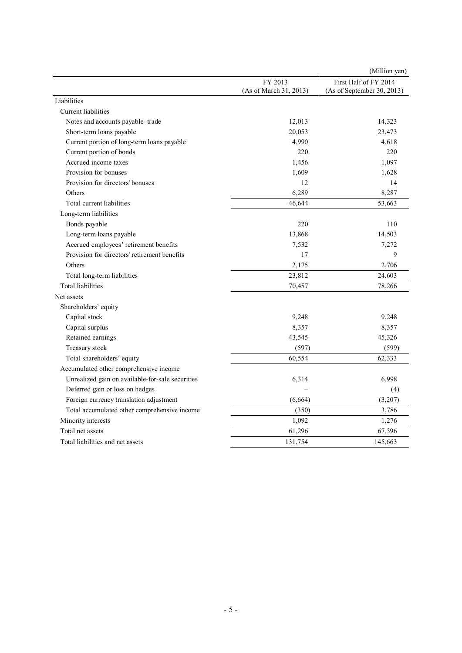|                                                  |                                   | (Million yen)                                       |
|--------------------------------------------------|-----------------------------------|-----------------------------------------------------|
|                                                  | FY 2013<br>(As of March 31, 2013) | First Half of FY 2014<br>(As of September 30, 2013) |
| Liabilities                                      |                                   |                                                     |
| Current liabilities                              |                                   |                                                     |
| Notes and accounts payable-trade                 | 12,013                            | 14,323                                              |
| Short-term loans payable                         | 20,053                            | 23,473                                              |
| Current portion of long-term loans payable       | 4,990                             | 4,618                                               |
| Current portion of bonds                         | 220                               | 220                                                 |
| Accrued income taxes                             | 1,456                             | 1,097                                               |
| Provision for bonuses                            | 1,609                             | 1,628                                               |
| Provision for directors' bonuses                 | 12                                | 14                                                  |
| Others                                           | 6,289                             | 8,287                                               |
| Total current liabilities                        | 46,644                            | 53,663                                              |
| Long-term liabilities                            |                                   |                                                     |
| Bonds payable                                    | 220                               | 110                                                 |
| Long-term loans payable                          | 13,868                            | 14,503                                              |
| Accrued employees' retirement benefits           | 7,532                             | 7,272                                               |
| Provision for directors' retirement benefits     | 17                                | 9                                                   |
| Others                                           | 2,175                             | 2,706                                               |
| Total long-term liabilities                      | 23,812                            | 24,603                                              |
| <b>Total liabilities</b>                         | 70,457                            | 78,266                                              |
| Net assets                                       |                                   |                                                     |
| Shareholders' equity                             |                                   |                                                     |
| Capital stock                                    | 9,248                             | 9,248                                               |
| Capital surplus                                  | 8,357                             | 8,357                                               |
| Retained earnings                                | 43,545                            | 45,326                                              |
| Treasury stock                                   | (597)                             | (599)                                               |
| Total shareholders' equity                       | 60,554                            | 62,333                                              |
| Accumulated other comprehensive income           |                                   |                                                     |
| Unrealized gain on available-for-sale securities | 6,314                             | 6,998                                               |
| Deferred gain or loss on hedges                  |                                   | (4)                                                 |
| Foreign currency translation adjustment          | (6,664)                           | (3,207)                                             |
| Total accumulated other comprehensive income     | (350)                             | 3,786                                               |
| Minority interests                               | 1,092                             | 1,276                                               |
| Total net assets                                 | 61,296                            | 67,396                                              |
| Total liabilities and net assets                 | 131,754                           | 145,663                                             |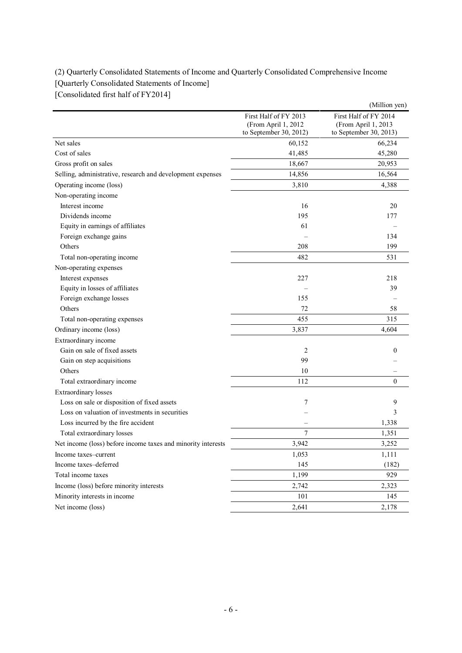## (2) Quarterly Consolidated Statements of Income and Quarterly Consolidated Comprehensive Income [Quarterly Consolidated Statements of Income] [Consolidated first half of FY2014]

|                                                              |                                                                        | (Million yen)                                                          |
|--------------------------------------------------------------|------------------------------------------------------------------------|------------------------------------------------------------------------|
|                                                              | First Half of FY 2013<br>(From April 1, 2012<br>to September 30, 2012) | First Half of FY 2014<br>(From April 1, 2013<br>to September 30, 2013) |
| Net sales                                                    | 60,152                                                                 | 66,234                                                                 |
| Cost of sales                                                | 41,485                                                                 | 45,280                                                                 |
| Gross profit on sales                                        | 18,667                                                                 | 20,953                                                                 |
| Selling, administrative, research and development expenses   | 14,856                                                                 | 16,564                                                                 |
| Operating income (loss)                                      | 3,810                                                                  | 4,388                                                                  |
| Non-operating income                                         |                                                                        |                                                                        |
| Interest income                                              | 16                                                                     | 20                                                                     |
| Dividends income                                             | 195                                                                    | 177                                                                    |
| Equity in earnings of affiliates                             | 61                                                                     |                                                                        |
| Foreign exchange gains                                       |                                                                        | 134                                                                    |
| Others                                                       | 208                                                                    | 199                                                                    |
| Total non-operating income                                   | 482                                                                    | 531                                                                    |
| Non-operating expenses                                       |                                                                        |                                                                        |
| Interest expenses                                            | 227                                                                    | 218                                                                    |
| Equity in losses of affiliates                               |                                                                        | 39                                                                     |
| Foreign exchange losses                                      | 155                                                                    |                                                                        |
| Others                                                       | 72                                                                     | 58                                                                     |
| Total non-operating expenses                                 | 455                                                                    | 315                                                                    |
| Ordinary income (loss)                                       | 3,837                                                                  | 4,604                                                                  |
| Extraordinary income                                         |                                                                        |                                                                        |
| Gain on sale of fixed assets                                 | 2                                                                      | $\boldsymbol{0}$                                                       |
| Gain on step acquisitions                                    | 99                                                                     |                                                                        |
| Others                                                       | 10                                                                     |                                                                        |
| Total extraordinary income                                   | 112                                                                    | $\boldsymbol{0}$                                                       |
| <b>Extraordinary losses</b>                                  |                                                                        |                                                                        |
| Loss on sale or disposition of fixed assets                  | 7                                                                      | 9                                                                      |
| Loss on valuation of investments in securities               |                                                                        | 3                                                                      |
| Loss incurred by the fire accident                           |                                                                        | 1,338                                                                  |
| Total extraordinary losses                                   | $\overline{7}$                                                         | 1,351                                                                  |
| Net income (loss) before income taxes and minority interests | 3,942                                                                  | 3,252                                                                  |
| Income taxes-current                                         | 1,053                                                                  | 1,111                                                                  |
| Income taxes-deferred                                        | 145                                                                    | (182)                                                                  |
| Total income taxes                                           | 1,199                                                                  | 929                                                                    |
| Income (loss) before minority interests                      | 2,742                                                                  | 2,323                                                                  |
| Minority interests in income                                 | 101                                                                    | 145                                                                    |
| Net income (loss)                                            | 2,641                                                                  | 2,178                                                                  |
|                                                              |                                                                        |                                                                        |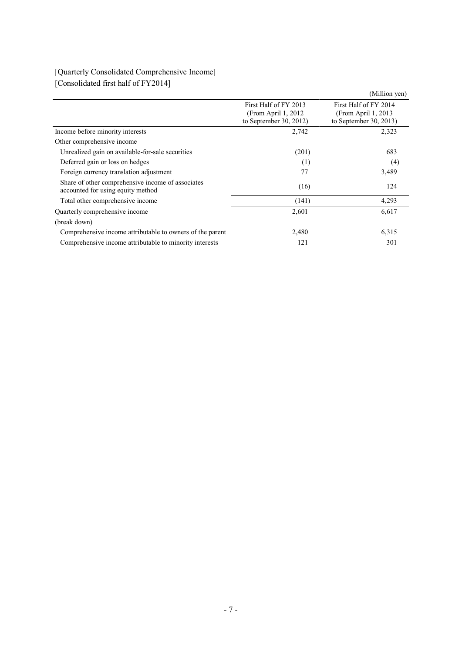# [Quarterly Consolidated Comprehensive Income] [Consolidated first half of FY2014]

|                                                                         | (Million yen)                                                           |
|-------------------------------------------------------------------------|-------------------------------------------------------------------------|
| First Half of FY 2013<br>(From April 1, 2012)<br>to September 30, 2012) | First Half of FY 2014<br>(From April 1, 2013)<br>to September 30, 2013) |
| 2,742                                                                   | 2,323                                                                   |
|                                                                         |                                                                         |
| (201)                                                                   | 683                                                                     |
| (1)                                                                     | (4)                                                                     |
| 77                                                                      | 3,489                                                                   |
| (16)                                                                    | 124                                                                     |
| (141)                                                                   | 4,293                                                                   |
| 2,601                                                                   | 6,617                                                                   |
|                                                                         |                                                                         |
| 2,480                                                                   | 6,315                                                                   |
| 121                                                                     | 301                                                                     |
|                                                                         |                                                                         |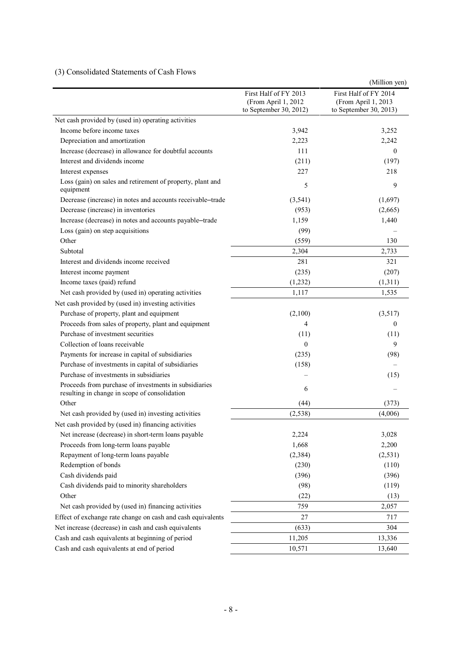### (3) Consolidated Statements of Cash Flows

|                                                                                                        |                                                                         | (Million yen)                                                          |
|--------------------------------------------------------------------------------------------------------|-------------------------------------------------------------------------|------------------------------------------------------------------------|
|                                                                                                        | First Half of FY 2013<br>(From April 1, 2012)<br>to September 30, 2012) | First Half of FY 2014<br>(From April 1, 2013<br>to September 30, 2013) |
| Net cash provided by (used in) operating activities                                                    |                                                                         |                                                                        |
| Income before income taxes                                                                             | 3,942                                                                   | 3,252                                                                  |
| Depreciation and amortization                                                                          | 2,223                                                                   | 2,242                                                                  |
| Increase (decrease) in allowance for doubtful accounts                                                 | 111                                                                     | $\theta$                                                               |
| Interest and dividends income                                                                          | (211)                                                                   | (197)                                                                  |
| Interest expenses                                                                                      | 227                                                                     | 218                                                                    |
| Loss (gain) on sales and retirement of property, plant and<br>equipment                                | 5                                                                       | 9                                                                      |
| Decrease (increase) in notes and accounts receivable-trade                                             | (3, 541)                                                                | (1,697)                                                                |
| Decrease (increase) in inventories                                                                     | (953)                                                                   | (2,665)                                                                |
| Increase (decrease) in notes and accounts payable-trade                                                | 1,159                                                                   | 1,440                                                                  |
| Loss (gain) on step acquisitions                                                                       | (99)                                                                    |                                                                        |
| Other                                                                                                  | (559)                                                                   | 130                                                                    |
| Subtotal                                                                                               | 2,304                                                                   | 2,733                                                                  |
| Interest and dividends income received                                                                 | 281                                                                     | 321                                                                    |
| Interest income payment                                                                                | (235)                                                                   | (207)                                                                  |
| Income taxes (paid) refund                                                                             | (1,232)                                                                 | (1,311)                                                                |
| Net cash provided by (used in) operating activities                                                    | 1,117                                                                   | 1,535                                                                  |
| Net cash provided by (used in) investing activities                                                    |                                                                         |                                                                        |
| Purchase of property, plant and equipment                                                              | (2,100)                                                                 | (3,517)                                                                |
| Proceeds from sales of property, plant and equipment                                                   | $\overline{4}$                                                          | $\overline{0}$                                                         |
| Purchase of investment securities                                                                      | (11)                                                                    | (11)                                                                   |
| Collection of loans receivable                                                                         | $\theta$                                                                | 9                                                                      |
| Payments for increase in capital of subsidiaries                                                       | (235)                                                                   | (98)                                                                   |
| Purchase of investments in capital of subsidiaries                                                     | (158)                                                                   |                                                                        |
| Purchase of investments in subsidiaries                                                                |                                                                         | (15)                                                                   |
| Proceeds from purchase of investments in subsidiaries<br>resulting in change in scope of consolidation | 6                                                                       |                                                                        |
| Other                                                                                                  | (44)                                                                    | (373)                                                                  |
| Net cash provided by (used in) investing activities                                                    | (2, 538)                                                                | (4,006)                                                                |
| Net cash provided by (used in) financing activities                                                    |                                                                         |                                                                        |
| Net increase (decrease) in short-term loans payable                                                    | 2,224                                                                   | 3,028                                                                  |
| Proceeds from long-term loans payable                                                                  | 1,668                                                                   | 2,200                                                                  |
| Repayment of long-term loans payable                                                                   | (2, 384)                                                                | (2, 531)                                                               |
| Redemption of bonds                                                                                    | (230)                                                                   | (110)                                                                  |
| Cash dividends paid                                                                                    | (396)                                                                   | (396)                                                                  |
| Cash dividends paid to minority shareholders                                                           | (98)                                                                    | (119)                                                                  |
| Other                                                                                                  | (22)                                                                    | (13)                                                                   |
| Net cash provided by (used in) financing activities                                                    | 759                                                                     | 2,057                                                                  |
| Effect of exchange rate change on cash and cash equivalents                                            | 27                                                                      | 717                                                                    |
| Net increase (decrease) in cash and cash equivalents                                                   | (633)                                                                   | 304                                                                    |
| Cash and cash equivalents at beginning of period                                                       | 11,205                                                                  | 13,336                                                                 |
| Cash and cash equivalents at end of period                                                             | 10,571                                                                  | 13,640                                                                 |
|                                                                                                        |                                                                         |                                                                        |